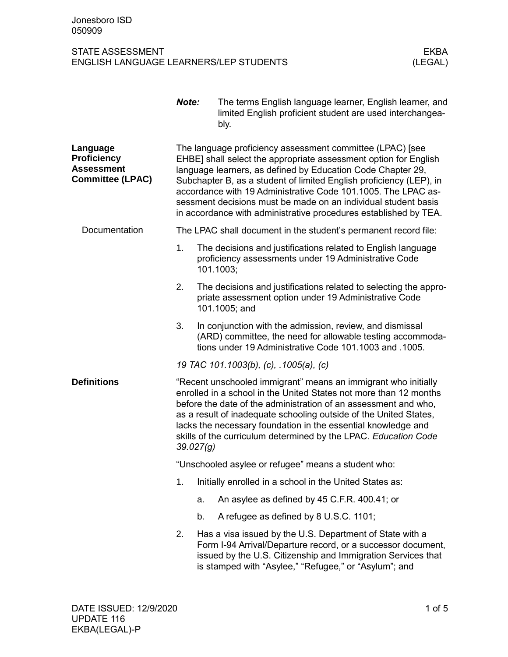|                                                                                | Note:                                                                                                                                                                                                                                                                                                                                                                                                                                                                      |    | The terms English language learner, English learner, and<br>limited English proficient student are used interchangea-<br>bly.                                                                                                                     |
|--------------------------------------------------------------------------------|----------------------------------------------------------------------------------------------------------------------------------------------------------------------------------------------------------------------------------------------------------------------------------------------------------------------------------------------------------------------------------------------------------------------------------------------------------------------------|----|---------------------------------------------------------------------------------------------------------------------------------------------------------------------------------------------------------------------------------------------------|
| Language<br><b>Proficiency</b><br><b>Assessment</b><br><b>Committee (LPAC)</b> | The language proficiency assessment committee (LPAC) [see<br>EHBE] shall select the appropriate assessment option for English<br>language learners, as defined by Education Code Chapter 29,<br>Subchapter B, as a student of limited English proficiency (LEP), in<br>accordance with 19 Administrative Code 101.1005. The LPAC as-<br>sessment decisions must be made on an individual student basis<br>in accordance with administrative procedures established by TEA. |    |                                                                                                                                                                                                                                                   |
| Documentation                                                                  |                                                                                                                                                                                                                                                                                                                                                                                                                                                                            |    | The LPAC shall document in the student's permanent record file:                                                                                                                                                                                   |
|                                                                                | 1.                                                                                                                                                                                                                                                                                                                                                                                                                                                                         |    | The decisions and justifications related to English language<br>proficiency assessments under 19 Administrative Code<br>101.1003;                                                                                                                 |
|                                                                                | 2.                                                                                                                                                                                                                                                                                                                                                                                                                                                                         |    | The decisions and justifications related to selecting the appro-<br>priate assessment option under 19 Administrative Code<br>101.1005; and                                                                                                        |
|                                                                                | 3.                                                                                                                                                                                                                                                                                                                                                                                                                                                                         |    | In conjunction with the admission, review, and dismissal<br>(ARD) committee, the need for allowable testing accommoda-<br>tions under 19 Administrative Code 101.1003 and .1005.                                                                  |
|                                                                                |                                                                                                                                                                                                                                                                                                                                                                                                                                                                            |    | 19 TAC 101.1003(b), (c), .1005(a), (c)                                                                                                                                                                                                            |
| <b>Definitions</b>                                                             | "Recent unschooled immigrant" means an immigrant who initially<br>enrolled in a school in the United States not more than 12 months<br>before the date of the administration of an assessment and who,<br>as a result of inadequate schooling outside of the United States,<br>lacks the necessary foundation in the essential knowledge and<br>skills of the curriculum determined by the LPAC. Education Code<br>39.027(g)                                               |    |                                                                                                                                                                                                                                                   |
|                                                                                |                                                                                                                                                                                                                                                                                                                                                                                                                                                                            |    | "Unschooled asylee or refugee" means a student who:                                                                                                                                                                                               |
|                                                                                | 1.                                                                                                                                                                                                                                                                                                                                                                                                                                                                         |    | Initially enrolled in a school in the United States as:                                                                                                                                                                                           |
|                                                                                |                                                                                                                                                                                                                                                                                                                                                                                                                                                                            | a. | An asylee as defined by 45 C.F.R. 400.41; or                                                                                                                                                                                                      |
|                                                                                |                                                                                                                                                                                                                                                                                                                                                                                                                                                                            | b. | A refugee as defined by 8 U.S.C. 1101;                                                                                                                                                                                                            |
|                                                                                | 2.                                                                                                                                                                                                                                                                                                                                                                                                                                                                         |    | Has a visa issued by the U.S. Department of State with a<br>Form I-94 Arrival/Departure record, or a successor document,<br>issued by the U.S. Citizenship and Immigration Services that<br>is stamped with "Asylee," "Refugee," or "Asylum"; and |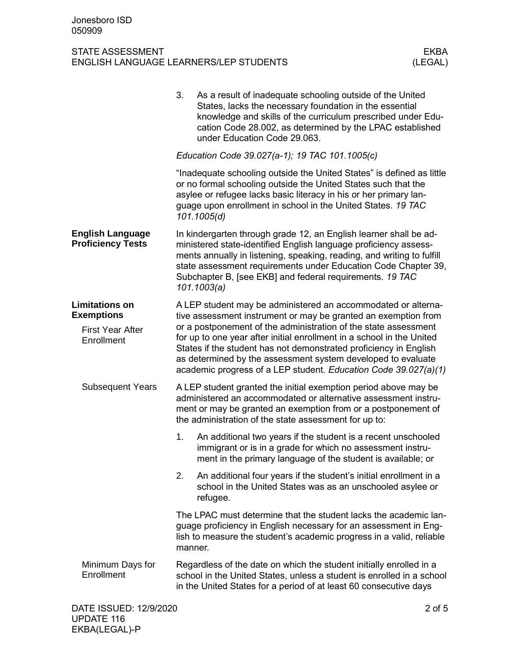| Education Code 39.027(a-1); 19 TAC 101.1005(c)<br>or no formal schooling outside the United States such that the<br>asylee or refugee lacks basic literacy in his or her primary lan-<br>guage upon enrollment in school in the United States. 19 TAC<br>101.1005(d)<br><b>English Language</b><br><b>Proficiency Tests</b><br>Subchapter B, [see EKB] and federal requirements. 19 TAC<br>101.1003(a)<br><b>Limitations on</b><br><b>Exemptions</b><br><b>First Year After</b><br>Enrollment<br><b>Subsequent Years</b><br>the administration of the state assessment for up to:<br>1.<br>immigrant or is in a grade for which no assessment instru-<br>2.<br>refugee. | 3.<br>As a result of inadequate schooling outside of the United<br>States, lacks the necessary foundation in the essential<br>knowledge and skills of the curriculum prescribed under Edu-<br>cation Code 28.002, as determined by the LPAC established<br>under Education Code 29.063.                                                                                                                                                                                             |  |
|-------------------------------------------------------------------------------------------------------------------------------------------------------------------------------------------------------------------------------------------------------------------------------------------------------------------------------------------------------------------------------------------------------------------------------------------------------------------------------------------------------------------------------------------------------------------------------------------------------------------------------------------------------------------------|-------------------------------------------------------------------------------------------------------------------------------------------------------------------------------------------------------------------------------------------------------------------------------------------------------------------------------------------------------------------------------------------------------------------------------------------------------------------------------------|--|
|                                                                                                                                                                                                                                                                                                                                                                                                                                                                                                                                                                                                                                                                         |                                                                                                                                                                                                                                                                                                                                                                                                                                                                                     |  |
|                                                                                                                                                                                                                                                                                                                                                                                                                                                                                                                                                                                                                                                                         | "Inadequate schooling outside the United States" is defined as little                                                                                                                                                                                                                                                                                                                                                                                                               |  |
|                                                                                                                                                                                                                                                                                                                                                                                                                                                                                                                                                                                                                                                                         | In kindergarten through grade 12, an English learner shall be ad-<br>ministered state-identified English language proficiency assess-<br>ments annually in listening, speaking, reading, and writing to fulfill<br>state assessment requirements under Education Code Chapter 39,                                                                                                                                                                                                   |  |
|                                                                                                                                                                                                                                                                                                                                                                                                                                                                                                                                                                                                                                                                         | A LEP student may be administered an accommodated or alterna-<br>tive assessment instrument or may be granted an exemption from<br>or a postponement of the administration of the state assessment<br>for up to one year after initial enrollment in a school in the United<br>States if the student has not demonstrated proficiency in English<br>as determined by the assessment system developed to evaluate<br>academic progress of a LEP student. Education Code 39.027(a)(1) |  |
|                                                                                                                                                                                                                                                                                                                                                                                                                                                                                                                                                                                                                                                                         | A LEP student granted the initial exemption period above may be<br>administered an accommodated or alternative assessment instru-<br>ment or may be granted an exemption from or a postponement of                                                                                                                                                                                                                                                                                  |  |
|                                                                                                                                                                                                                                                                                                                                                                                                                                                                                                                                                                                                                                                                         | An additional two years if the student is a recent unschooled<br>ment in the primary language of the student is available; or                                                                                                                                                                                                                                                                                                                                                       |  |
|                                                                                                                                                                                                                                                                                                                                                                                                                                                                                                                                                                                                                                                                         | An additional four years if the student's initial enrollment in a<br>school in the United States was as an unschooled asylee or                                                                                                                                                                                                                                                                                                                                                     |  |
| manner.                                                                                                                                                                                                                                                                                                                                                                                                                                                                                                                                                                                                                                                                 | The LPAC must determine that the student lacks the academic lan-<br>guage proficiency in English necessary for an assessment in Eng-<br>lish to measure the student's academic progress in a valid, reliable                                                                                                                                                                                                                                                                        |  |
| Minimum Days for<br>Enrollment<br>in the United States for a period of at least 60 consecutive days                                                                                                                                                                                                                                                                                                                                                                                                                                                                                                                                                                     | Regardless of the date on which the student initially enrolled in a<br>school in the United States, unless a student is enrolled in a school                                                                                                                                                                                                                                                                                                                                        |  |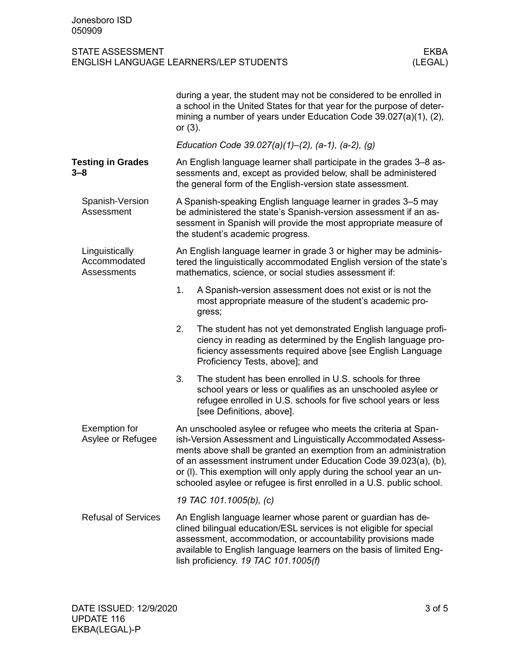|                                                      | during a year, the student may not be considered to be enrolled in<br>a school in the United States for that year for the purpose of deter-<br>mining a number of years under Education Code 39.027(a)(1), (2),<br>or $(3)$ .                                                                                                                                                                                              |
|------------------------------------------------------|----------------------------------------------------------------------------------------------------------------------------------------------------------------------------------------------------------------------------------------------------------------------------------------------------------------------------------------------------------------------------------------------------------------------------|
|                                                      | Education Code 39.027(a)(1)-(2), (a-1), (a-2), (g)                                                                                                                                                                                                                                                                                                                                                                         |
| <b>Testing in Grades</b><br>$3 - 8$                  | An English language learner shall participate in the grades 3–8 as-<br>sessments and, except as provided below, shall be administered<br>the general form of the English-version state assessment.                                                                                                                                                                                                                         |
| Spanish-Version<br>Assessment                        | A Spanish-speaking English language learner in grades 3-5 may<br>be administered the state's Spanish-version assessment if an as-<br>sessment in Spanish will provide the most appropriate measure of<br>the student's academic progress.                                                                                                                                                                                  |
| Linguistically<br>Accommodated<br><b>Assessments</b> | An English language learner in grade 3 or higher may be adminis-<br>tered the linguistically accommodated English version of the state's<br>mathematics, science, or social studies assessment if:                                                                                                                                                                                                                         |
|                                                      | 1.<br>A Spanish-version assessment does not exist or is not the<br>most appropriate measure of the student's academic pro-<br>gress;                                                                                                                                                                                                                                                                                       |
|                                                      | 2.<br>The student has not yet demonstrated English language profi-<br>ciency in reading as determined by the English language pro-<br>ficiency assessments required above [see English Language<br>Proficiency Tests, above]; and                                                                                                                                                                                          |
|                                                      | 3.<br>The student has been enrolled in U.S. schools for three<br>school years or less or qualifies as an unschooled asylee or<br>refugee enrolled in U.S. schools for five school years or less<br>[see Definitions, above].                                                                                                                                                                                               |
| Exemption for<br>Asylee or Refugee                   | An unschooled asylee or refugee who meets the criteria at Span-<br>ish-Version Assessment and Linguistically Accommodated Assess-<br>ments above shall be granted an exemption from an administration<br>of an assessment instrument under Education Code 39.023(a), (b),<br>or (I). This exemption will only apply during the school year an un-<br>schooled asylee or refugee is first enrolled in a U.S. public school. |
|                                                      | 19 TAC 101.1005(b), (c)                                                                                                                                                                                                                                                                                                                                                                                                    |
| <b>Refusal of Services</b>                           | An English language learner whose parent or guardian has de-<br>clined bilingual education/ESL services is not eligible for special<br>assessment, accommodation, or accountability provisions made<br>available to English language learners on the basis of limited Eng-<br>lish proficiency. 19 TAC 101.1005(f)                                                                                                         |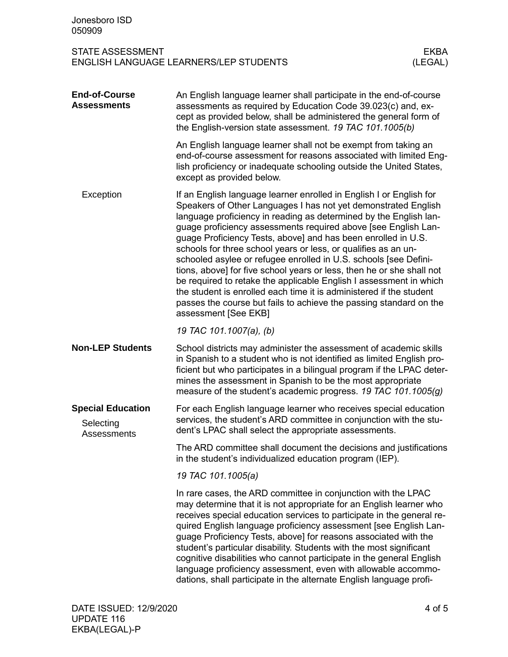| Jonesboro ISD<br>050909                                     |                                                                                                                                                                                                                                                                                                                                                                                                                                                                                                                                                                                                                                                                                                                                                                                                         |                        |
|-------------------------------------------------------------|---------------------------------------------------------------------------------------------------------------------------------------------------------------------------------------------------------------------------------------------------------------------------------------------------------------------------------------------------------------------------------------------------------------------------------------------------------------------------------------------------------------------------------------------------------------------------------------------------------------------------------------------------------------------------------------------------------------------------------------------------------------------------------------------------------|------------------------|
| <b>STATE ASSESSMENT</b>                                     | <b>ENGLISH LANGUAGE LEARNERS/LEP STUDENTS</b>                                                                                                                                                                                                                                                                                                                                                                                                                                                                                                                                                                                                                                                                                                                                                           | <b>EKBA</b><br>(LEGAL) |
| <b>End-of-Course</b><br><b>Assessments</b>                  | An English language learner shall participate in the end-of-course<br>assessments as required by Education Code 39.023(c) and, ex-<br>cept as provided below, shall be administered the general form of<br>the English-version state assessment. 19 TAC 101.1005(b)                                                                                                                                                                                                                                                                                                                                                                                                                                                                                                                                     |                        |
|                                                             | An English language learner shall not be exempt from taking an<br>end-of-course assessment for reasons associated with limited Eng-<br>lish proficiency or inadequate schooling outside the United States,<br>except as provided below.                                                                                                                                                                                                                                                                                                                                                                                                                                                                                                                                                                 |                        |
| Exception                                                   | If an English language learner enrolled in English I or English for<br>Speakers of Other Languages I has not yet demonstrated English<br>language proficiency in reading as determined by the English lan-<br>guage proficiency assessments required above [see English Lan-<br>guage Proficiency Tests, above] and has been enrolled in U.S.<br>schools for three school years or less, or qualifies as an un-<br>schooled asylee or refugee enrolled in U.S. schools [see Defini-<br>tions, above] for five school years or less, then he or she shall not<br>be required to retake the applicable English I assessment in which<br>the student is enrolled each time it is administered if the student<br>passes the course but fails to achieve the passing standard on the<br>assessment [See EKB] |                        |
|                                                             | 19 TAC 101.1007(a), (b)                                                                                                                                                                                                                                                                                                                                                                                                                                                                                                                                                                                                                                                                                                                                                                                 |                        |
| <b>Non-LEP Students</b>                                     | School districts may administer the assessment of academic skills<br>in Spanish to a student who is not identified as limited English pro-<br>ficient but who participates in a bilingual program if the LPAC deter-<br>mines the assessment in Spanish to be the most appropriate<br>measure of the student's academic progress. 19 TAC 101.1005(g)                                                                                                                                                                                                                                                                                                                                                                                                                                                    |                        |
| <b>Special Education</b><br>Selecting<br><b>Assessments</b> | For each English language learner who receives special education<br>services, the student's ARD committee in conjunction with the stu-<br>dent's LPAC shall select the appropriate assessments.                                                                                                                                                                                                                                                                                                                                                                                                                                                                                                                                                                                                         |                        |
|                                                             | The ARD committee shall document the decisions and justifications<br>in the student's individualized education program (IEP).                                                                                                                                                                                                                                                                                                                                                                                                                                                                                                                                                                                                                                                                           |                        |
|                                                             | 19 TAC 101.1005(a)                                                                                                                                                                                                                                                                                                                                                                                                                                                                                                                                                                                                                                                                                                                                                                                      |                        |
|                                                             | In rare cases, the ARD committee in conjunction with the LPAC<br>may determine that it is not appropriate for an English learner who<br>receives special education services to participate in the general re-<br>quired English language proficiency assessment [see English Lan-<br>guage Proficiency Tests, above] for reasons associated with the<br>student's particular disability. Students with the most significant<br>cognitive disabilities who cannot participate in the general English<br>language proficiency assessment, even with allowable accommo-<br>dations, shall participate in the alternate English language profi-                                                                                                                                                             |                        |